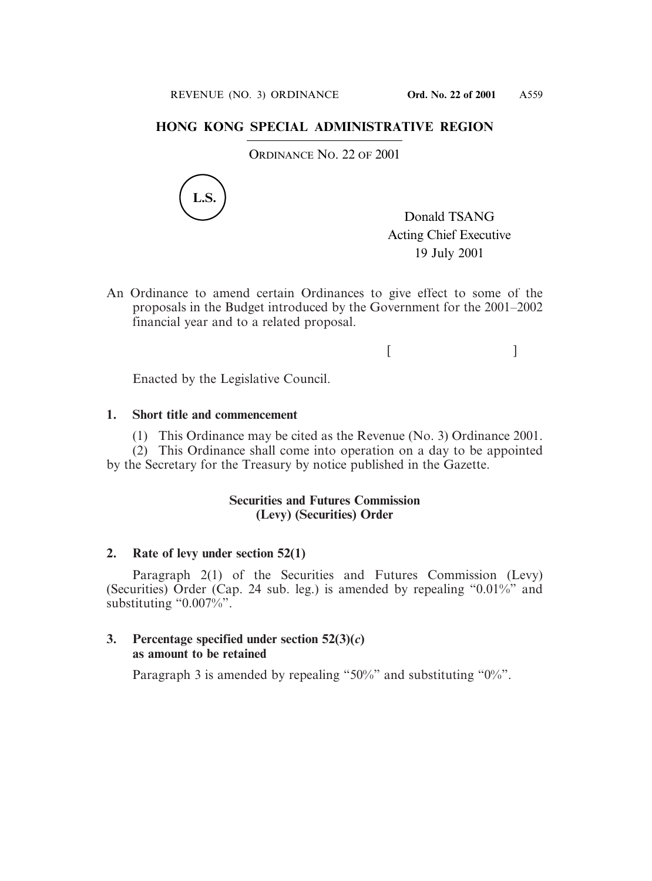## **HONG KONG SPECIAL ADMINISTRATIVE REGION**

ORDINANCE NO. 22 OF 2001



Donald TSANG Acting Chief Executive 19 July 2001

An Ordinance to amend certain Ordinances to give effect to some of the proposals in the Budget introduced by the Government for the 2001–2002 financial year and to a related proposal.

 $[$   $]$ 

Enacted by the Legislative Council.

## **1. Short title and commencement**

(1) This Ordinance may be cited as the Revenue (No. 3) Ordinance 2001.

(2) This Ordinance shall come into operation on a day to be appointed by the Secretary for the Treasury by notice published in the Gazette.

## **Securities and Futures Commission (Levy) (Securities) Order**

#### **2. Rate of levy under section 52(1)**

Paragraph 2(1) of the Securities and Futures Commission (Levy) (Securities) Order (Cap. 24 sub. leg.) is amended by repealing "0.01%" and substituting "0.007%".

#### **3. Percentage specified under section 52(3)(***c***) as amount to be retained**

Paragraph 3 is amended by repealing "50%" and substituting "0%".